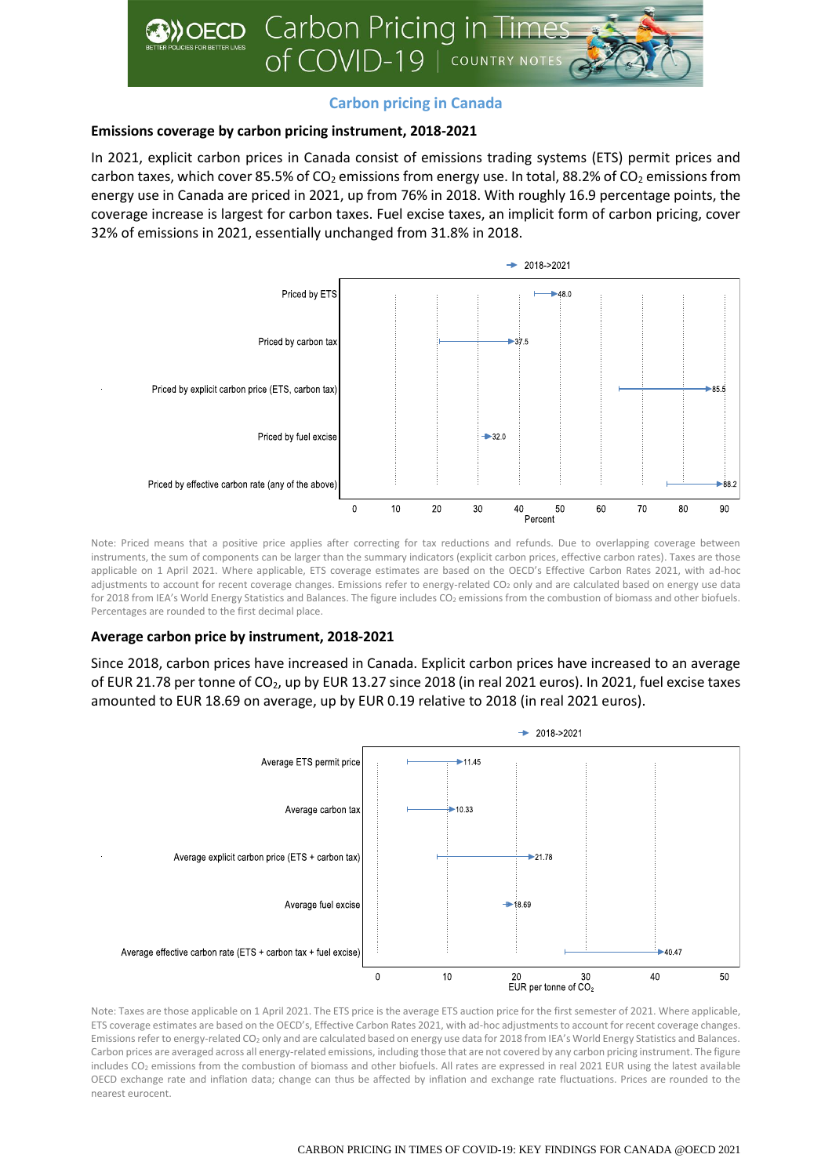

# **Carbon pricing in Canada**

### **Emissions coverage by carbon pricing instrument, 2018-2021**

In 2021, explicit carbon prices in Canada consist of emissions trading systems (ETS) permit prices and carbon taxes, which cover 85.5% of  $CO<sub>2</sub>$  emissions from energy use. In total, 88.2% of  $CO<sub>2</sub>$  emissions from energy use in Canada are priced in 2021, up from 76% in 2018. With roughly 16.9 percentage points, the coverage increase is largest for carbon taxes. Fuel excise taxes, an implicit form of carbon pricing, cover 32% of emissions in 2021, essentially unchanged from 31.8% in 2018.



Note: Priced means that a positive price applies after correcting for tax reductions and refunds. Due to overlapping coverage between instruments, the sum of components can be larger than the summary indicators (explicit carbon prices, effective carbon rates). Taxes are those applicable on 1 April 2021. Where applicable, ETS coverage estimates are based on the OECD's Effective Carbon Rates 2021, with ad-hoc adjustments to account for recent coverage changes. Emissions refer to energy-related CO<sub>2</sub> only and are calculated based on energy use data for 2018 from IEA's World Energy Statistics and Balances. The figure includes CO<sub>2</sub> emissions from the combustion of biomass and other biofuels. Percentages are rounded to the first decimal place.

## **Average carbon price by instrument, 2018-2021**

Since 2018, carbon prices have increased in Canada. Explicit carbon prices have increased to an average of EUR 21.78 per tonne of CO<sub>2</sub>, up by EUR 13.27 since 2018 (in real 2021 euros). In 2021, fuel excise taxes amounted to EUR 18.69 on average, up by EUR 0.19 relative to 2018 (in real 2021 euros).



Note: Taxes are those applicable on 1 April 2021. The ETS price is the average ETS auction price for the first semester of 2021. Where applicable, ETS coverage estimates are based on the OECD's, Effective Carbon Rates 2021, with ad-hoc adjustments to account for recent coverage changes. Emissions refer to energy-related CO<sub>2</sub> only and are calculated based on energy use data for 2018 from IEA's World Energy Statistics and Balances. Carbon prices are averaged across all energy-related emissions, including those that are not covered by any carbon pricing instrument. The figure includes CO<sup>2</sup> emissions from the combustion of biomass and other biofuels. All rates are expressed in real 2021 EUR using the latest available OECD exchange rate and inflation data; change can thus be affected by inflation and exchange rate fluctuations. Prices are rounded to the nearest eurocent.